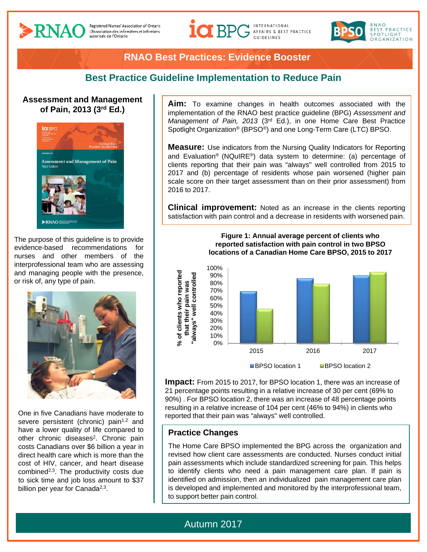INTERNATIONAL **ICI** BPG AFFAIRS & BEST PRACTICE



# **RNAO Best Practices: Evidence Booster**

## **Best Practice Guideline Implementation to Reduce Pain**

### **Best Practices in Hospitals of Pain, 2013 (3rd Ed.) Assessment and Management**



The purpose of this guideline is to provide evidence-based recommendations for nurses and other members of the interprofessional team who are assessing and managing people with the presence, or risk of, any type of pain.



One in five Canadians have moderate to severe persistent (chronic) pain<sup>1,2</sup> and have a lower quality of life compared to other chronic diseases<sup>2</sup>. Chronic pain costs Canadians over \$6 billion a year in direct health care which is more than the cost of HIV, cancer, and heart disease combined<sup>2,3</sup>. The productivity costs due to sick time and job loss amount to \$37 billion per year for Canada<sup>2,3</sup>.

**Aim:** To examine changes in health outcomes associated with the implementation of the RNAO best practice guideline (BPG) *Assessment and Management of Pain, 2013* (3rd Ed.), in one Home Care Best Practice Spotlight Organization® (BPSO®) and one Long-Term Care (LTC) BPSO.

**Measure:** Use indicators from the Nursing Quality Indicators for Reporting and Evaluation® (NQuIRE®) data system to determine: (a) percentage of clients reporting that their pain was "always" well controlled from 2015 to 2017 and (b) percentage of residents whose pain worsened (higher pain scale score on their target assessment than on their prior assessment) from 2016 to 2017.

**Clinical improvement:** Noted as an increase in the clients reporting satisfaction with pain control and a decrease in residents with worsened pain.

> **Figure 1: Annual average percent of clients who reported satisfaction with pain control in two BPSO locations of a Canadian Home Care BPSO, 2015 to 2017**



**Impact:** From 2015 to 2017, for BPSO location 1, there was an increase of 21 percentage points resulting in a relative increase of 30 per cent (69% to 90%) . For BPSO location 2, there was an increase of 48 percentage points resulting in a relative increase of 104 per cent (46% to 94%) in clients who reported that their pain was "always" well controlled.

### **Practice Changes**

The Home Care BPSO implemented the BPG across the organization and revised how client care assessments are conducted. Nurses conduct initial pain assessments which include standardized screening for pain. This helps to identify clients who need a pain management care plan. If pain is identified on admission, then an individualized pain management care plan is developed and implemented and monitored by the interprofessional team, to support better pain control.

# Autumn 2017